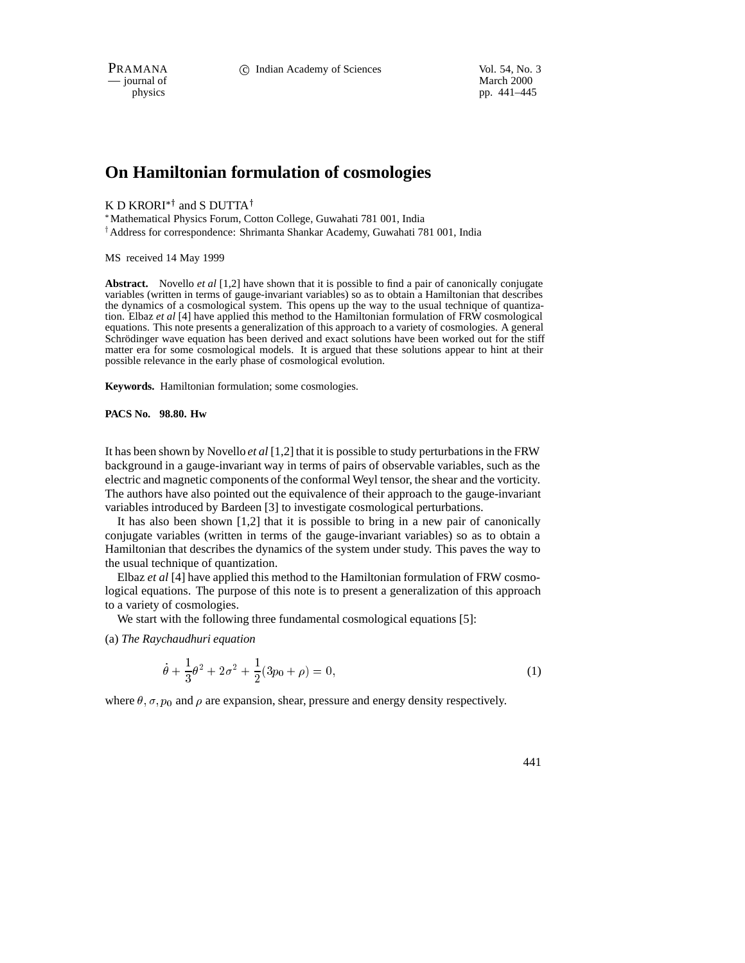$\frac{1}{\text{p}}$  is physics

pp. 441–445

# **On Hamiltonian formulation of cosmologies**

K D KRORI<sup>\*†</sup> and S DUTTA<sup>†</sup>

Mathematical Physics Forum, Cotton College, Guwahati 781 001, India

<sup>†</sup> Address for correspondence: Shrimanta Shankar Academy, Guwahati 781 001, India

MS received 14 May 1999

**Abstract.** Novello *et al* [1,2] have shown that it is possible to find a pair of canonically conjugate variables (written in terms of gauge-invariant variables) so as to obtain a Hamiltonian that describes the dynamics of a cosmological system. This opens up the way to the usual technique of quantization. Elbaz *et al* [4] have applied this method to the Hamiltonian formulation of FRW cosmological equations. This note presents a generalization of this approach to a variety of cosmologies. A general Schrödinger wave equation has been derived and exact solutions have been worked out for the stiff matter era for some cosmological models. It is argued that these solutions appear to hint at their possible relevance in the early phase of cosmological evolution.

**Keywords.** Hamiltonian formulation; some cosmologies.

**PACS No. 98.80. Hw**

It has been shown by Novello *et al* [1,2] that it is possible to study perturbations in the FRW background in a gauge-invariant way in terms of pairs of observable variables, such as the electric and magnetic components of the conformal Weyl tensor, the shear and the vorticity. The authors have also pointed out the equivalence of their approach to the gauge-invariant variables introduced by Bardeen [3] to investigate cosmological perturbations.

It has also been shown [1,2] that it is possible to bring in a new pair of canonically conjugate variables (written in terms of the gauge-invariant variables) so as to obtain a Hamiltonian that describes the dynamics of the system under study. This paves the way to the usual technique of quantization.

Elbaz *et al* [4] have applied this method to the Hamiltonian formulation of FRW cosmological equations. The purpose of this note is to present a generalization of this approach to a variety of cosmologies.

We start with the following three fundamental cosmological equations [5]:

(a) *The Raychaudhuri equation*

$$
\dot{\theta} + \frac{1}{3}\theta^2 + 2\sigma^2 + \frac{1}{2}(3p_0 + \rho) = 0,\tag{1}
$$

where  $\theta$ ,  $\sigma$ ,  $p_0$  and  $\rho$  are expansion, shear, pressure and energy density respectively.

441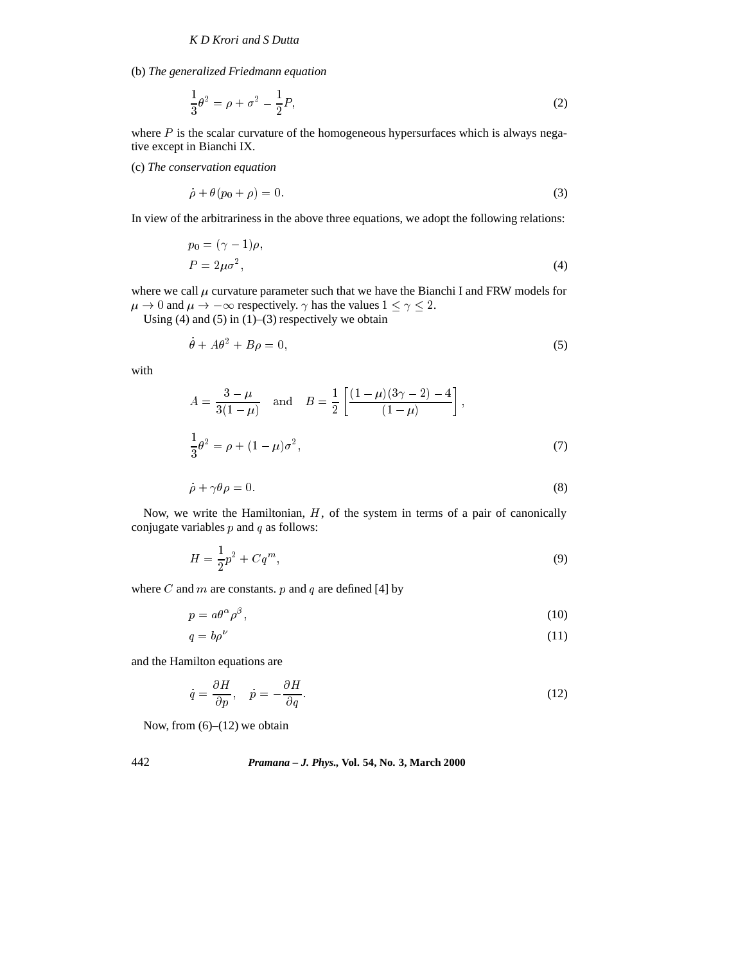(b) *The generalized Friedmann equation*

$$
\frac{1}{3}\theta^2 = \rho + \sigma^2 - \frac{1}{2}P,
$$
\n(2)

where  $P$  is the scalar curvature of the homogeneous hypersurfaces which is always negative except in Bianchi IX.

(c) *The conservation equation*

 $\sim 10^7$ 

$$
\dot{\rho} + \theta(p_0 + \rho) = 0. \tag{3}
$$

In view of the arbitrariness in the above three equations, we adopt the following relations:

$$
p_0 = (\gamma - 1)\rho,
$$
  
\n
$$
P = 2\mu\sigma^2,
$$
\n(4)

where we call  $\mu$  curvature parameter such that we have the Bianchi I and FRW models for  $\mu \to 0$  and  $\mu \to -\infty$  respectively.  $\gamma$  has the values  $1 \le \gamma \le 2$ .

Using (4) and (5) in  $(1)$ –(3) respectively we obtain

$$
\theta + A\theta^2 + B\rho = 0,\t\t(5)
$$

with

$$
A = \frac{3 - \mu}{3(1 - \mu)} \quad \text{and} \quad B = \frac{1}{2} \left[ \frac{(1 - \mu)(3\gamma - 2) - 4}{(1 - \mu)} \right],
$$
  

$$
\frac{1}{3}\theta^2 = \rho + (1 - \mu)\sigma^2,
$$
 (7)

$$
\dot{\rho} + \gamma \theta \rho = 0. \tag{8}
$$

Now, we write the Hamiltonian, <sup>H</sup>, of the system in terms of a pair of canonically conjugate variables  $p$  and  $q$  as follows:

$$
H = \frac{1}{2}p^2 + Cq^m,
$$
\n(9)

where  $C$  and  $m$  are constants.  $p$  and  $q$  are defined [4] by

$$
p = a\theta^{\alpha}\rho^{\beta},\tag{10}
$$

$$
q = b\rho^{\nu} \tag{11}
$$

and the Hamilton equations are

$$
\dot{q} = \frac{\partial H}{\partial p}, \quad \dot{p} = -\frac{\partial H}{\partial q}.
$$
\n(12)

Now, from  $(6)$ – $(12)$  we obtain

## 442 *Pramana – J. Phys.,* **Vol. 54, No. 3, March 2000**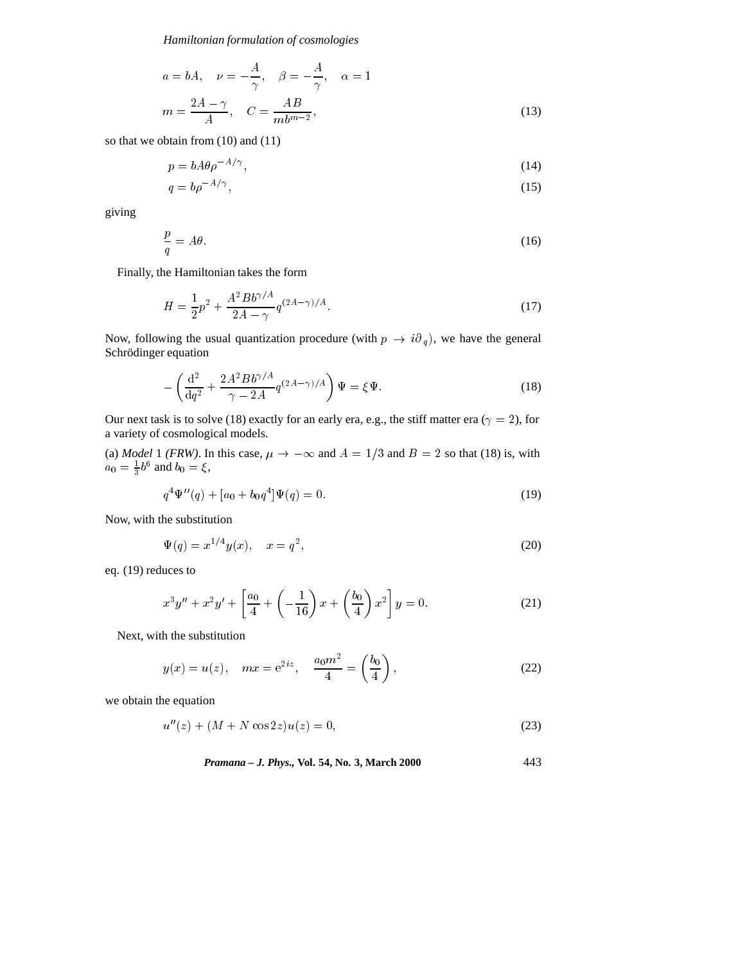*Hamiltonian formulation of cosmologies*

$$
a = bA, \quad \nu = -\frac{A}{\gamma}, \quad \beta = -\frac{A}{\gamma}, \quad \alpha = 1
$$

$$
m = \frac{2A - \gamma}{A}, \quad C = \frac{AB}{mb^{m-2}}, \tag{13}
$$

so that we obtain from (10) and (11)

$$
p = bA\theta\rho^{-A/\gamma},\tag{14}
$$

$$
q = b\rho^{-A/\gamma},\tag{15}
$$

giving

$$
\frac{p}{q} = A\theta. \tag{16}
$$

Finally, the Hamiltonian takes the form

$$
H = \frac{1}{2}p^2 + \frac{A^2 B b^{\gamma/A}}{2A - \gamma} q^{(2A - \gamma)/A}.
$$
 (17)

Now, following the usual quantization procedure (with  $p \rightarrow i\partial_q$ ), we have the general Schrödinger equation

$$
-\left(\frac{\mathrm{d}^2}{\mathrm{d}q^2} + \frac{2A^2Bb^{\gamma/A}}{\gamma - 2A}q^{(2A-\gamma)/A}\right)\Psi = \xi\Psi.
$$
\n(18)

Our next task is to solve (18) exactly for an early era, e.g., the stiff matter era ( $\gamma = 2$ ), for a variety of cosmological models.

(a) *Model* 1 *(FRW)*. In this case,  $\mu \rightarrow -\infty$  and  $A = 1/3$  and  $B = 2$  so that (18) is, with  $a_0 = \frac{1}{3}b^6$  and  $b_0 = \xi$ ,

$$
q^{4}\Psi''(q) + [a_{0} + b_{0}q^{4}]\Psi(q) = 0.
$$
\n(19)

Now, with the substitution

$$
\Psi(q) = x^{1/4} y(x), \quad x = q^2,
$$
\n(20)

eq. (19) reduces to

$$
x^{3}y'' + x^{2}y' + \left[\frac{a_{0}}{4} + \left(-\frac{1}{16}\right)x + \left(\frac{b_{0}}{4}\right)x^{2}\right]y = 0.
$$
 (21)

Next, with the substitution

$$
y(x) = u(z), \quad mx = e^{2iz}, \quad \frac{a_0 m^2}{4} = \left(\frac{b_0}{4}\right),
$$
 (22)

we obtain the equation

$$
u''(z) + (M + N \cos 2z)u(z) = 0,
$$
\n(23)

*Pramana – J. Phys.,* **Vol. 54, No. 3, March 2000** 443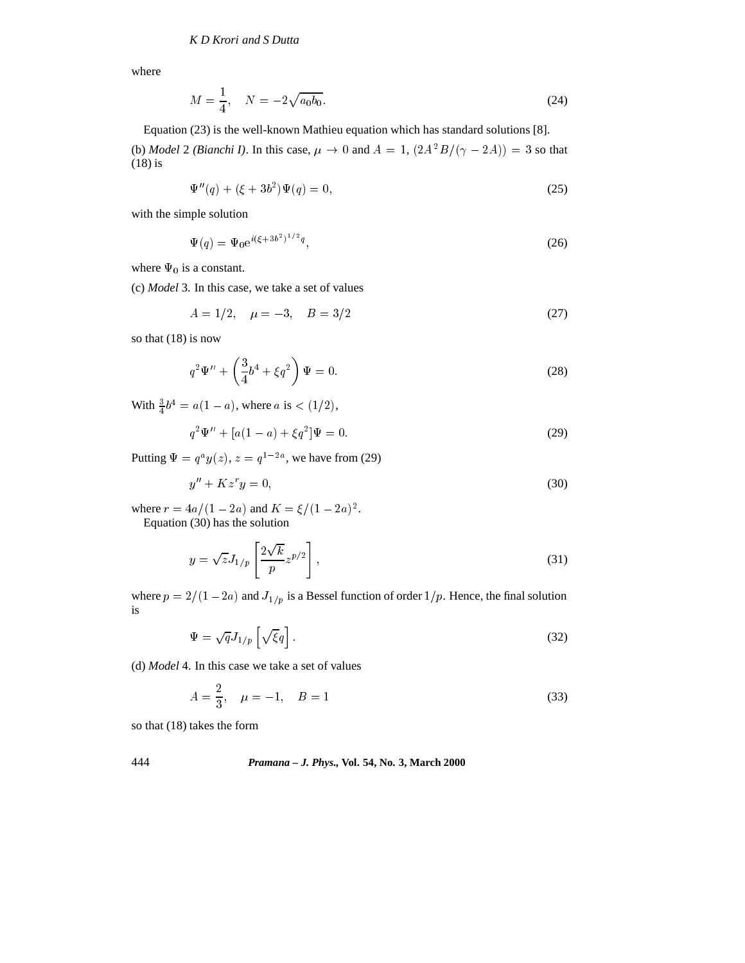where

$$
M = \frac{1}{4}, \quad N = -2\sqrt{a_0 b_0}.\tag{24}
$$

Equation (23) is the well-known Mathieu equation which has standard solutions [8].

(b) *Model* 2 *(Bianchi I)*. In this case,  $\mu \to 0$  and  $A = 1$ ,  $\left(2A^2B/(\gamma - 2A)\right) = 3$  so that (18) is

$$
\Psi''(q) + (\xi + 3b^2)\Psi(q) = 0,\t(25)
$$

with the simple solution

$$
\Psi(q) = \Psi_0 e^{i(\xi + 3b^2)^{1/2}q},\tag{26}
$$

where  $\Psi_0$  is a constant.

(c) *Model* 3. In this case, we take a set of values

$$
A = 1/2, \quad \mu = -3, \quad B = 3/2 \tag{27}
$$

so that (18) is now

$$
q^{2}\Psi'' + \left(\frac{3}{4}b^{4} + \xi q^{2}\right)\Psi = 0.
$$
 (28)

With  $\frac{3}{4}b^4 = a(1 - a)$ , where  $a$  is  $\lt (1/2)$ ,

$$
q^{2}\Psi'' + [a(1-a) + \xi q^{2}]\Psi = 0.
$$
 (29)

Putting  $\Psi = q^a y(z)$ ,  $z = q^{1-2a}$ , we have from (29)

$$
y'' + Kz^r y = 0,\t\t(30)
$$

where  $r = 4a/(1 - 2a)$  and  $K = \xi/(1 - 2a)^2$ .

Equation (30) has the solution

$$
y = \sqrt{z} J_{1/p} \left[ \frac{2\sqrt{k}}{p} z^{p/2} \right],\tag{31}
$$

where  $p = 2/(1 - 2a)$  and  $J_{1/p}$  is a Bessel function of order  $1/p$ . Hence, the final solution is

$$
\Psi = \sqrt{q} J_{1/p} \left[ \sqrt{\xi} q \right]. \tag{32}
$$

(d) *Model* 4. In this case we take a set of values

$$
A = \frac{2}{3}, \quad \mu = -1, \quad B = 1 \tag{33}
$$

so that (18) takes the form

## 444 *Pramana – J. Phys.,* **Vol. 54, No. 3, March 2000**